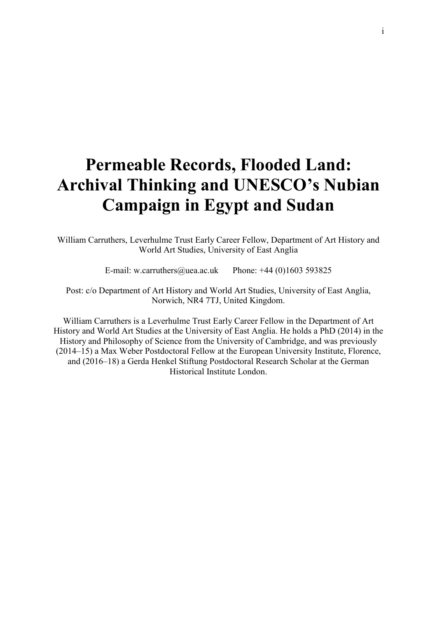# **Permeable Records, Flooded Land: Archival Thinking and UNESCO's Nubian Campaign in Egypt and Sudan**

William Carruthers, Leverhulme Trust Early Career Fellow, Department of Art History and World Art Studies, University of East Anglia

E-mail: w.carruthers@uea.ac.uk Phone:  $+44$  (0)1603 593825

Post: c/o Department of Art History and World Art Studies, University of East Anglia, Norwich, NR4 7TJ, United Kingdom.

William Carruthers is a Leverhulme Trust Early Career Fellow in the Department of Art History and World Art Studies at the University of East Anglia. He holds a PhD (2014) in the History and Philosophy of Science from the University of Cambridge, and was previously (2014–15) a Max Weber Postdoctoral Fellow at the European University Institute, Florence, and (2016–18) a Gerda Henkel Stiftung Postdoctoral Research Scholar at the German Historical Institute London.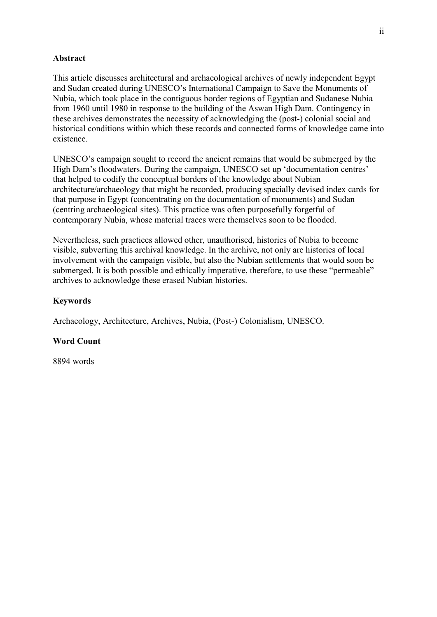# **Abstract**

This article discusses architectural and archaeological archives of newly independent Egypt and Sudan created during UNESCO's International Campaign to Save the Monuments of Nubia, which took place in the contiguous border regions of Egyptian and Sudanese Nubia from 1960 until 1980 in response to the building of the Aswan High Dam. Contingency in these archives demonstrates the necessity of acknowledging the (post-) colonial social and historical conditions within which these records and connected forms of knowledge came into existence.

UNESCO's campaign sought to record the ancient remains that would be submerged by the High Dam's floodwaters. During the campaign, UNESCO set up 'documentation centres' that helped to codify the conceptual borders of the knowledge about Nubian architecture/archaeology that might be recorded, producing specially devised index cards for that purpose in Egypt (concentrating on the documentation of monuments) and Sudan (centring archaeological sites). This practice was often purposefully forgetful of contemporary Nubia, whose material traces were themselves soon to be flooded.

Nevertheless, such practices allowed other, unauthorised, histories of Nubia to become visible, subverting this archival knowledge. In the archive, not only are histories of local involvement with the campaign visible, but also the Nubian settlements that would soon be submerged. It is both possible and ethically imperative, therefore, to use these "permeable" archives to acknowledge these erased Nubian histories.

# **Keywords**

Archaeology, Architecture, Archives, Nubia, (Post-) Colonialism, UNESCO.

## **Word Count**

8894 words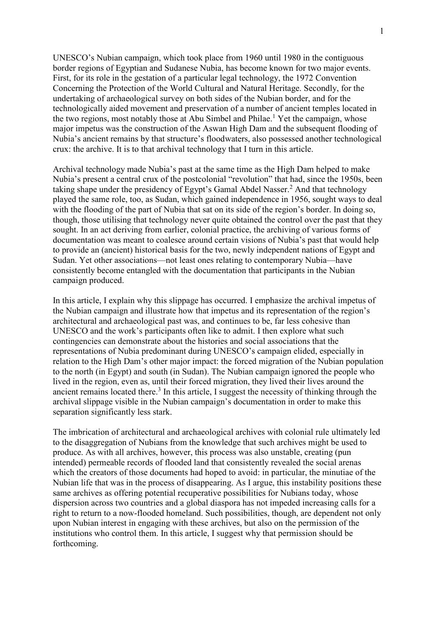UNESCO's Nubian campaign, which took place from 1960 until 1980 in the contiguous border regions of Egyptian and Sudanese Nubia, has become known for two major events. First, for its role in the gestation of a particular legal technology, the 1972 Convention Concerning the Protection of the World Cultural and Natural Heritage. Secondly, for the undertaking of archaeological survey on both sides of the Nubian border, and for the technologically aided movement and preservation of a number of ancient temples located in the two regions, most notably those at Abu Simbel and Philae.<sup>1</sup> Yet the campaign, whose major impetus was the construction of the Aswan High Dam and the subsequent flooding of Nubia's ancient remains by that structure's floodwaters, also possessed another technological crux: the archive. It is to that archival technology that I turn in this article.

Archival technology made Nubia's past at the same time as the High Dam helped to make Nubia's present a central crux of the postcolonial "revolution" that had, since the 1950s, been taking shape under the presidency of Egypt's Gamal Abdel Nasser.<sup>2</sup> And that technology played the same role, too, as Sudan, which gained independence in 1956, sought ways to deal with the flooding of the part of Nubia that sat on its side of the region's border. In doing so, though, those utilising that technology never quite obtained the control over the past that they sought. In an act deriving from earlier, colonial practice, the archiving of various forms of documentation was meant to coalesce around certain visions of Nubia's past that would help to provide an (ancient) historical basis for the two, newly independent nations of Egypt and Sudan. Yet other associations—not least ones relating to contemporary Nubia—have consistently become entangled with the documentation that participants in the Nubian campaign produced.

In this article, I explain why this slippage has occurred. I emphasize the archival impetus of the Nubian campaign and illustrate how that impetus and its representation of the region's architectural and archaeological past was, and continues to be, far less cohesive than UNESCO and the work's participants often like to admit. I then explore what such contingencies can demonstrate about the histories and social associations that the representations of Nubia predominant during UNESCO's campaign elided, especially in relation to the High Dam's other major impact: the forced migration of the Nubian population to the north (in Egypt) and south (in Sudan). The Nubian campaign ignored the people who lived in the region, even as, until their forced migration, they lived their lives around the ancient remains located there. $3$  In this article, I suggest the necessity of thinking through the archival slippage visible in the Nubian campaign's documentation in order to make this separation significantly less stark.

The imbrication of architectural and archaeological archives with colonial rule ultimately led to the disaggregation of Nubians from the knowledge that such archives might be used to produce. As with all archives, however, this process was also unstable, creating (pun intended) permeable records of flooded land that consistently revealed the social arenas which the creators of those documents had hoped to avoid: in particular, the minutiae of the Nubian life that was in the process of disappearing. As I argue, this instability positions these same archives as offering potential recuperative possibilities for Nubians today, whose dispersion across two countries and a global diaspora has not impeded increasing calls for a right to return to a now-flooded homeland. Such possibilities, though, are dependent not only upon Nubian interest in engaging with these archives, but also on the permission of the institutions who control them. In this article, I suggest why that permission should be forthcoming.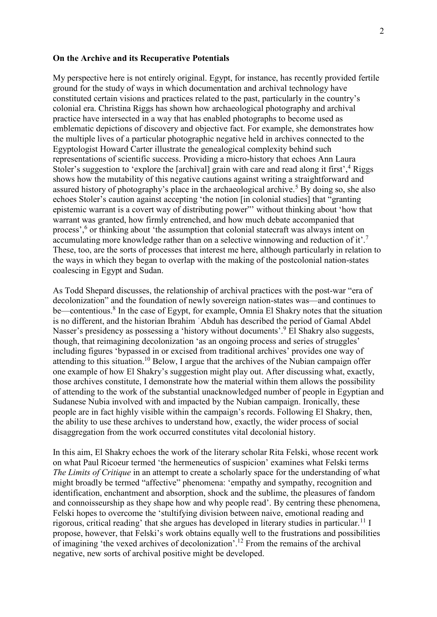### **On the Archive and its Recuperative Potentials**

My perspective here is not entirely original. Egypt, for instance, has recently provided fertile ground for the study of ways in which documentation and archival technology have constituted certain visions and practices related to the past, particularly in the country's colonial era. Christina Riggs has shown how archaeological photography and archival practice have intersected in a way that has enabled photographs to become used as emblematic depictions of discovery and objective fact. For example, she demonstrates how the multiple lives of a particular photographic negative held in archives connected to the Egyptologist Howard Carter illustrate the genealogical complexity behind such representations of scientific success. Providing a micro-history that echoes Ann Laura Stoler's suggestion to 'explore the [archival] grain with care and read along it first',<sup>4</sup> Riggs shows how the mutability of this negative cautions against writing a straightforward and assured history of photography's place in the archaeological archive.<sup>5</sup> By doing so, she also echoes Stoler's caution against accepting 'the notion [in colonial studies] that "granting epistemic warrant is a covert way of distributing power"' without thinking about 'how that warrant was granted, how firmly entrenched, and how much debate accompanied that process',<sup>6</sup> or thinking about 'the assumption that colonial statecraft was always intent on accumulating more knowledge rather than on a selective winnowing and reduction of it'.<sup>7</sup> These, too, are the sorts of processes that interest me here, although particularly in relation to the ways in which they began to overlap with the making of the postcolonial nation-states coalescing in Egypt and Sudan.

As Todd Shepard discusses, the relationship of archival practices with the post-war "era of decolonization" and the foundation of newly sovereign nation-states was—and continues to be—contentious.<sup>8</sup> In the case of Egypt, for example, Omnia El Shakry notes that the situation is no different, and the historian Ibrahim ʿAbduh has described the period of Gamal Abdel Nasser's presidency as possessing a 'history without documents'.<sup>9</sup> El Shakry also suggests, though, that reimagining decolonization 'as an ongoing process and series of struggles' including figures 'bypassed in or excised from traditional archives' provides one way of attending to this situation.<sup>10</sup> Below, I argue that the archives of the Nubian campaign offer one example of how El Shakry's suggestion might play out. After discussing what, exactly, those archives constitute, I demonstrate how the material within them allows the possibility of attending to the work of the substantial unacknowledged number of people in Egyptian and Sudanese Nubia involved with and impacted by the Nubian campaign. Ironically, these people are in fact highly visible within the campaign's records. Following El Shakry, then, the ability to use these archives to understand how, exactly, the wider process of social disaggregation from the work occurred constitutes vital decolonial history.

In this aim, El Shakry echoes the work of the literary scholar Rita Felski, whose recent work on what Paul Ricoeur termed 'the hermeneutics of suspicion' examines what Felski terms *The Limits of Critique* in an attempt to create a scholarly space for the understanding of what might broadly be termed "affective" phenomena: 'empathy and sympathy, recognition and identification, enchantment and absorption, shock and the sublime, the pleasures of fandom and connoisseurship as they shape how and why people read'. By centring these phenomena, Felski hopes to overcome the 'stultifying division between naive, emotional reading and rigorous, critical reading' that she argues has developed in literary studies in particular.<sup>11</sup> I propose, however, that Felski's work obtains equally well to the frustrations and possibilities of imagining 'the vexed archives of decolonization'.<sup>12</sup> From the remains of the archival negative, new sorts of archival positive might be developed.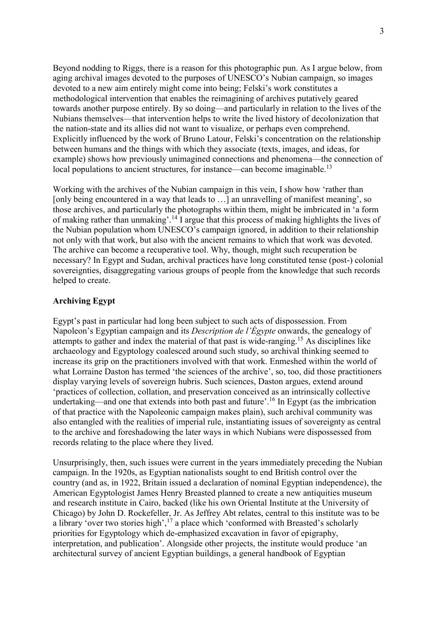Beyond nodding to Riggs, there is a reason for this photographic pun. As I argue below, from aging archival images devoted to the purposes of UNESCO's Nubian campaign, so images devoted to a new aim entirely might come into being; Felski's work constitutes a methodological intervention that enables the reimagining of archives putatively geared towards another purpose entirely. By so doing—and particularly in relation to the lives of the Nubians themselves—that intervention helps to write the lived history of decolonization that the nation-state and its allies did not want to visualize, or perhaps even comprehend. Explicitly influenced by the work of Bruno Latour, Felski's concentration on the relationship between humans and the things with which they associate (texts, images, and ideas, for example) shows how previously unimagined connections and phenomena—the connection of local populations to ancient structures, for instance—can become imaginable.<sup>13</sup>

Working with the archives of the Nubian campaign in this vein, I show how 'rather than [only being encountered in a way that leads to ...] an unravelling of manifest meaning', so those archives, and particularly the photographs within them, might be imbricated in 'a form of making rather than unmaking'.<sup>14</sup> I argue that this process of making highlights the lives of the Nubian population whom UNESCO's campaign ignored, in addition to their relationship not only with that work, but also with the ancient remains to which that work was devoted. The archive can become a recuperative tool. Why, though, might such recuperation be necessary? In Egypt and Sudan, archival practices have long constituted tense (post-) colonial sovereignties, disaggregating various groups of people from the knowledge that such records helped to create.

# **Archiving Egypt**

Egypt's past in particular had long been subject to such acts of dispossession. From Napoleon's Egyptian campaign and its *Description de l'Égypte* onwards, the genealogy of attempts to gather and index the material of that past is wide-ranging.<sup>15</sup> As disciplines like archaeology and Egyptology coalesced around such study, so archival thinking seemed to increase its grip on the practitioners involved with that work. Enmeshed within the world of what Lorraine Daston has termed 'the sciences of the archive', so, too, did those practitioners display varying levels of sovereign hubris. Such sciences, Daston argues, extend around 'practices of collection, collation, and preservation conceived as an intrinsically collective undertaking—and one that extends into both past and future'.<sup>16</sup> In Egypt (as the imbrication of that practice with the Napoleonic campaign makes plain), such archival community was also entangled with the realities of imperial rule, instantiating issues of sovereignty as central to the archive and foreshadowing the later ways in which Nubians were dispossessed from records relating to the place where they lived.

Unsurprisingly, then, such issues were current in the years immediately preceding the Nubian campaign. In the 1920s, as Egyptian nationalists sought to end British control over the country (and as, in 1922, Britain issued a declaration of nominal Egyptian independence), the American Egyptologist James Henry Breasted planned to create a new antiquities museum and research institute in Cairo, backed (like his own Oriental Institute at the University of Chicago) by John D. Rockefeller, Jr. As Jeffrey Abt relates, central to this institute was to be a library 'over two stories high',  $^{17}$  a place which 'conformed with Breasted's scholarly priorities for Egyptology which de-emphasized excavation in favor of epigraphy, interpretation, and publication'. Alongside other projects, the institute would produce 'an architectural survey of ancient Egyptian buildings, a general handbook of Egyptian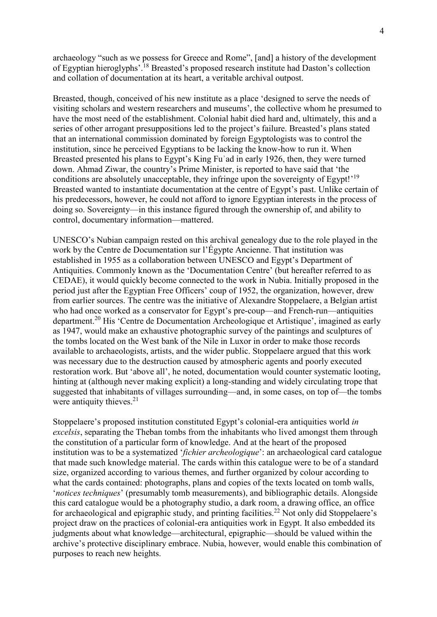archaeology "such as we possess for Greece and Rome", [and] a history of the development of Egyptian hieroglyphs'.<sup>18</sup> Breasted's proposed research institute had Daston's collection and collation of documentation at its heart, a veritable archival outpost.

Breasted, though, conceived of his new institute as a place 'designed to serve the needs of visiting scholars and western researchers and museums', the collective whom he presumed to have the most need of the establishment. Colonial habit died hard and, ultimately, this and a series of other arrogant presuppositions led to the project's failure. Breasted's plans stated that an international commission dominated by foreign Egyptologists was to control the institution, since he perceived Egyptians to be lacking the know-how to run it. When Breasted presented his plans to Egypt's King Fuʾad in early 1926, then, they were turned down. Ahmad Ziwar, the country's Prime Minister, is reported to have said that 'the conditions are absolutely unacceptable, they infringe upon the sovereignty of Egypt!'<sup>19</sup> Breasted wanted to instantiate documentation at the centre of Egypt's past. Unlike certain of his predecessors, however, he could not afford to ignore Egyptian interests in the process of doing so. Sovereignty—in this instance figured through the ownership of, and ability to control, documentary information—mattered.

UNESCO's Nubian campaign rested on this archival genealogy due to the role played in the work by the Centre de Documentation sur l'Égypte Ancienne. That institution was established in 1955 as a collaboration between UNESCO and Egypt's Department of Antiquities. Commonly known as the 'Documentation Centre' (but hereafter referred to as CEDAE), it would quickly become connected to the work in Nubia. Initially proposed in the period just after the Egyptian Free Officers' coup of 1952, the organization, however, drew from earlier sources. The centre was the initiative of Alexandre Stoppelaere, a Belgian artist who had once worked as a conservator for Egypt's pre-coup—and French-run—antiquities department.<sup>20</sup> His 'Centre de Documentation Archeologique et Artistique', imagined as early as 1947, would make an exhaustive photographic survey of the paintings and sculptures of the tombs located on the West bank of the Nile in Luxor in order to make those records available to archaeologists, artists, and the wider public. Stoppelaere argued that this work was necessary due to the destruction caused by atmospheric agents and poorly executed restoration work. But 'above all', he noted, documentation would counter systematic looting, hinting at (although never making explicit) a long-standing and widely circulating trope that suggested that inhabitants of villages surrounding—and, in some cases, on top of—the tombs were antiquity thieves.<sup>21</sup>

Stoppelaere's proposed institution constituted Egypt's colonial-era antiquities world *in excelsis*, separating the Theban tombs from the inhabitants who lived amongst them through the constitution of a particular form of knowledge. And at the heart of the proposed institution was to be a systematized '*fichier archeologique*': an archaeological card catalogue that made such knowledge material. The cards within this catalogue were to be of a standard size, organized according to various themes, and further organized by colour according to what the cards contained: photographs, plans and copies of the texts located on tomb walls, '*notices techniques*' (presumably tomb measurements), and bibliographic details. Alongside this card catalogue would be a photography studio, a dark room, a drawing office, an office for archaeological and epigraphic study, and printing facilities.<sup>22</sup> Not only did Stoppelaere's project draw on the practices of colonial-era antiquities work in Egypt. It also embedded its judgments about what knowledge—architectural, epigraphic—should be valued within the archive's protective disciplinary embrace. Nubia, however, would enable this combination of purposes to reach new heights.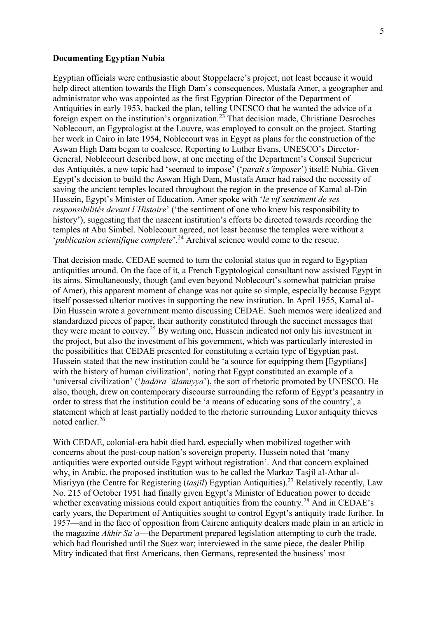## **Documenting Egyptian Nubia**

Egyptian officials were enthusiastic about Stoppelaere's project, not least because it would help direct attention towards the High Dam's consequences. Mustafa Amer, a geographer and administrator who was appointed as the first Egyptian Director of the Department of Antiquities in early 1953, backed the plan, telling UNESCO that he wanted the advice of a foreign expert on the institution's organization.<sup>23</sup> That decision made, Christiane Desroches Noblecourt, an Egyptologist at the Louvre, was employed to consult on the project. Starting her work in Cairo in late 1954, Noblecourt was in Egypt as plans for the construction of the Aswan High Dam began to coalesce. Reporting to Luther Evans, UNESCO's Director-General, Noblecourt described how, at one meeting of the Department's Conseil Superieur des Antiquités, a new topic had 'seemed to impose' ('*paraît s'imposer*') itself: Nubia. Given Egypt's decision to build the Aswan High Dam, Mustafa Amer had raised the necessity of saving the ancient temples located throughout the region in the presence of Kamal al-Din Hussein, Egypt's Minister of Education. Amer spoke with '*le vif sentiment de ses responsibilités devant l'Histoire*' ('the sentiment of one who knew his responsibility to history'), suggesting that the nascent institution's efforts be directed towards recording the temples at Abu Simbel. Noblecourt agreed, not least because the temples were without a '*publication scientifique complete*'.<sup>24</sup> Archival science would come to the rescue.

That decision made, CEDAE seemed to turn the colonial status quo in regard to Egyptian antiquities around. On the face of it, a French Egyptological consultant now assisted Egypt in its aims. Simultaneously, though (and even beyond Noblecourt's somewhat patrician praise of Amer), this apparent moment of change was not quite so simple, especially because Egypt itself possessed ulterior motives in supporting the new institution. In April 1955, Kamal al-Din Hussein wrote a government memo discussing CEDAE. Such memos were idealized and standardized pieces of paper, their authority constituted through the succinct messages that they were meant to convey.<sup>25</sup> By writing one, Hussein indicated not only his investment in the project, but also the investment of his government, which was particularly interested in the possibilities that CEDAE presented for constituting a certain type of Egyptian past. Hussein stated that the new institution could be 'a source for equipping them [Egyptians] with the history of human civilization', noting that Egypt constituted an example of a 'universal civilization' ('*hadāra 'ālamiyya'*), the sort of rhetoric promoted by UNESCO. He also, though, drew on contemporary discourse surrounding the reform of Egypt's peasantry in order to stress that the institution could be 'a means of educating sons of the country', a statement which at least partially nodded to the rhetoric surrounding Luxor antiquity thieves noted earlier.<sup>26</sup>

With CEDAE, colonial-era habit died hard, especially when mobilized together with concerns about the post-coup nation's sovereign property. Hussein noted that 'many antiquities were exported outside Egypt without registration'. And that concern explained why, in Arabic, the proposed institution was to be called the Markaz Tasjil al-Athar al-Misriyya (the Centre for Registering (*tasjīl*) Egyptian Antiquities).<sup>27</sup> Relatively recently, Law No. 215 of October 1951 had finally given Egypt's Minister of Education power to decide whether excavating missions could export antiquities from the country.<sup>28</sup> And in CEDAE's early years, the Department of Antiquities sought to control Egypt's antiquity trade further. In 1957—and in the face of opposition from Cairene antiquity dealers made plain in an article in the magazine *Akhir Saʿa*—the Department prepared legislation attempting to curb the trade, which had flourished until the Suez war; interviewed in the same piece, the dealer Philip Mitry indicated that first Americans, then Germans, represented the business' most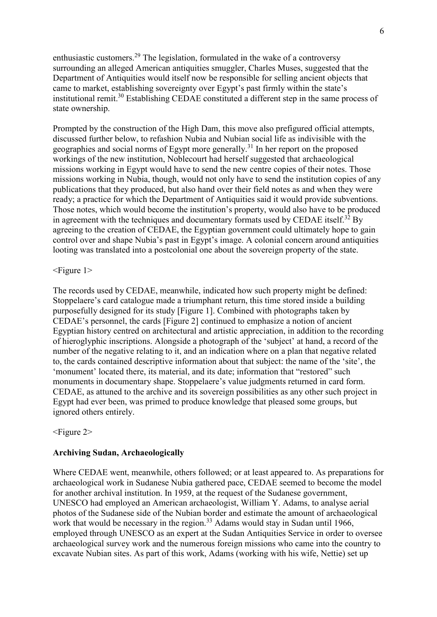enthusiastic customers.<sup>29</sup> The legislation, formulated in the wake of a controversy surrounding an alleged American antiquities smuggler, Charles Muses, suggested that the Department of Antiquities would itself now be responsible for selling ancient objects that came to market, establishing sovereignty over Egypt's past firmly within the state's institutional remit.<sup>30</sup> Establishing CEDAE constituted a different step in the same process of state ownership.

Prompted by the construction of the High Dam, this move also prefigured official attempts, discussed further below, to refashion Nubia and Nubian social life as indivisible with the geographies and social norms of Egypt more generally.<sup>31</sup> In her report on the proposed workings of the new institution, Noblecourt had herself suggested that archaeological missions working in Egypt would have to send the new centre copies of their notes. Those missions working in Nubia, though, would not only have to send the institution copies of any publications that they produced, but also hand over their field notes as and when they were ready; a practice for which the Department of Antiquities said it would provide subventions. Those notes, which would become the institution's property, would also have to be produced in agreement with the techniques and documentary formats used by CEDAE itself.<sup>32</sup> By agreeing to the creation of CEDAE, the Egyptian government could ultimately hope to gain control over and shape Nubia's past in Egypt's image. A colonial concern around antiquities looting was translated into a postcolonial one about the sovereign property of the state.

# <Figure 1>

The records used by CEDAE, meanwhile, indicated how such property might be defined: Stoppelaere's card catalogue made a triumphant return, this time stored inside a building purposefully designed for its study [Figure 1]. Combined with photographs taken by CEDAE's personnel, the cards [Figure 2] continued to emphasize a notion of ancient Egyptian history centred on architectural and artistic appreciation, in addition to the recording of hieroglyphic inscriptions. Alongside a photograph of the 'subject' at hand, a record of the number of the negative relating to it, and an indication where on a plan that negative related to, the cards contained descriptive information about that subject: the name of the 'site', the 'monument' located there, its material, and its date; information that "restored" such monuments in documentary shape. Stoppelaere's value judgments returned in card form. CEDAE, as attuned to the archive and its sovereign possibilities as any other such project in Egypt had ever been, was primed to produce knowledge that pleased some groups, but ignored others entirely.

## <Figure 2>

# **Archiving Sudan, Archaeologically**

Where CEDAE went, meanwhile, others followed; or at least appeared to. As preparations for archaeological work in Sudanese Nubia gathered pace, CEDAE seemed to become the model for another archival institution. In 1959, at the request of the Sudanese government, UNESCO had employed an American archaeologist, William Y. Adams, to analyse aerial photos of the Sudanese side of the Nubian border and estimate the amount of archaeological work that would be necessary in the region.<sup>33</sup> Adams would stay in Sudan until 1966, employed through UNESCO as an expert at the Sudan Antiquities Service in order to oversee archaeological survey work and the numerous foreign missions who came into the country to excavate Nubian sites. As part of this work, Adams (working with his wife, Nettie) set up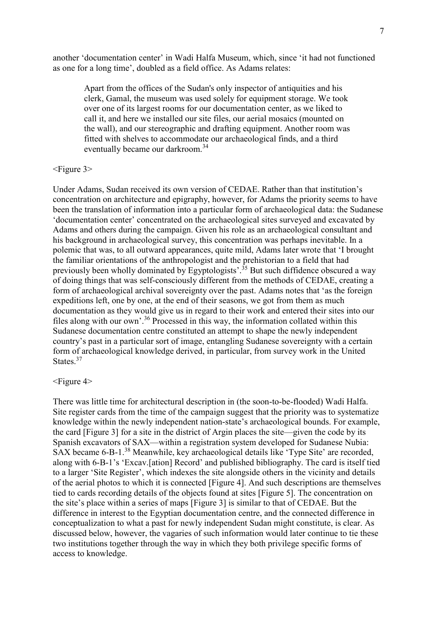another 'documentation center' in Wadi Halfa Museum, which, since 'it had not functioned as one for a long time', doubled as a field office. As Adams relates:

Apart from the offices of the Sudan's only inspector of antiquities and his clerk, Gamal, the museum was used solely for equipment storage. We took over one of its largest rooms for our documentation center, as we liked to call it, and here we installed our site files, our aerial mosaics (mounted on the wall), and our stereographic and drafting equipment. Another room was fitted with shelves to accommodate our archaeological finds, and a third eventually became our darkroom.<sup>34</sup>

## <Figure 3>

Under Adams, Sudan received its own version of CEDAE. Rather than that institution's concentration on architecture and epigraphy, however, for Adams the priority seems to have been the translation of information into a particular form of archaeological data: the Sudanese 'documentation center' concentrated on the archaeological sites surveyed and excavated by Adams and others during the campaign. Given his role as an archaeological consultant and his background in archaeological survey, this concentration was perhaps inevitable. In a polemic that was, to all outward appearances, quite mild, Adams later wrote that 'I brought the familiar orientations of the anthropologist and the prehistorian to a field that had previously been wholly dominated by Egyptologists'.<sup>35</sup> But such diffidence obscured a way of doing things that was self-consciously different from the methods of CEDAE, creating a form of archaeological archival sovereignty over the past. Adams notes that 'as the foreign expeditions left, one by one, at the end of their seasons, we got from them as much documentation as they would give us in regard to their work and entered their sites into our files along with our own'.<sup>36</sup> Processed in this way, the information collated within this Sudanese documentation centre constituted an attempt to shape the newly independent country's past in a particular sort of image, entangling Sudanese sovereignty with a certain form of archaeological knowledge derived, in particular, from survey work in the United States. 37

#### <Figure 4>

There was little time for architectural description in (the soon-to-be-flooded) Wadi Halfa. Site register cards from the time of the campaign suggest that the priority was to systematize knowledge within the newly independent nation-state's archaeological bounds. For example, the card [Figure 3] for a site in the district of Argin places the site—given the code by its Spanish excavators of SAX—within a registration system developed for Sudanese Nubia: SAX became 6-B-1.<sup>38</sup> Meanwhile, key archaeological details like 'Type Site' are recorded, along with 6-B-1's 'Excav.[ation] Record' and published bibliography. The card is itself tied to a larger 'Site Register', which indexes the site alongside others in the vicinity and details of the aerial photos to which it is connected [Figure 4]. And such descriptions are themselves tied to cards recording details of the objects found at sites [Figure 5]. The concentration on the site's place within a series of maps [Figure 3] is similar to that of CEDAE. But the difference in interest to the Egyptian documentation centre, and the connected difference in conceptualization to what a past for newly independent Sudan might constitute, is clear. As discussed below, however, the vagaries of such information would later continue to tie these two institutions together through the way in which they both privilege specific forms of access to knowledge.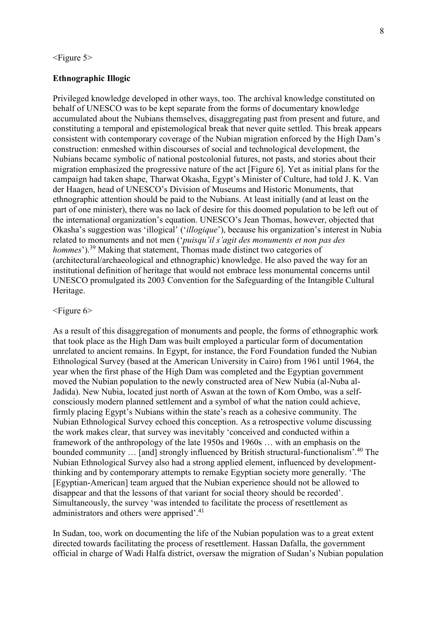#### $\leq$ Figure 5 $>$

## **Ethnographic Illogic**

Privileged knowledge developed in other ways, too. The archival knowledge constituted on behalf of UNESCO was to be kept separate from the forms of documentary knowledge accumulated about the Nubians themselves, disaggregating past from present and future, and constituting a temporal and epistemological break that never quite settled. This break appears consistent with contemporary coverage of the Nubian migration enforced by the High Dam's construction: enmeshed within discourses of social and technological development, the Nubians became symbolic of national postcolonial futures, not pasts, and stories about their migration emphasized the progressive nature of the act [Figure 6]. Yet as initial plans for the campaign had taken shape, Tharwat Okasha, Egypt's Minister of Culture, had told J. K. Van der Haagen, head of UNESCO's Division of Museums and Historic Monuments, that ethnographic attention should be paid to the Nubians. At least initially (and at least on the part of one minister), there was no lack of desire for this doomed population to be left out of the international organization's equation. UNESCO's Jean Thomas, however, objected that Okasha's suggestion was 'illogical' ('*illogique*'), because his organization's interest in Nubia related to monuments and not men ('*puisqu'il s'agit des monuments et non pas des hommes*').<sup>39</sup> Making that statement, Thomas made distinct two categories of (architectural/archaeological and ethnographic) knowledge. He also paved the way for an institutional definition of heritage that would not embrace less monumental concerns until UNESCO promulgated its 2003 Convention for the Safeguarding of the Intangible Cultural Heritage.

### $\leq$ Figure 6>

As a result of this disaggregation of monuments and people, the forms of ethnographic work that took place as the High Dam was built employed a particular form of documentation unrelated to ancient remains. In Egypt, for instance, the Ford Foundation funded the Nubian Ethnological Survey (based at the American University in Cairo) from 1961 until 1964, the year when the first phase of the High Dam was completed and the Egyptian government moved the Nubian population to the newly constructed area of New Nubia (al-Nuba al-Jadida). New Nubia, located just north of Aswan at the town of Kom Ombo, was a selfconsciously modern planned settlement and a symbol of what the nation could achieve, firmly placing Egypt's Nubians within the state's reach as a cohesive community. The Nubian Ethnological Survey echoed this conception. As a retrospective volume discussing the work makes clear, that survey was inevitably 'conceived and conducted within a framework of the anthropology of the late 1950s and 1960s … with an emphasis on the bounded community … [and] strongly influenced by British structural-functionalism'.<sup>40</sup> The Nubian Ethnological Survey also had a strong applied element, influenced by developmentthinking and by contemporary attempts to remake Egyptian society more generally. 'The [Egyptian-American] team argued that the Nubian experience should not be allowed to disappear and that the lessons of that variant for social theory should be recorded'. Simultaneously, the survey 'was intended to facilitate the process of resettlement as administrators and others were apprised'.<sup>41</sup>

In Sudan, too, work on documenting the life of the Nubian population was to a great extent directed towards facilitating the process of resettlement. Hassan Dafalla, the government official in charge of Wadi Halfa district, oversaw the migration of Sudan's Nubian population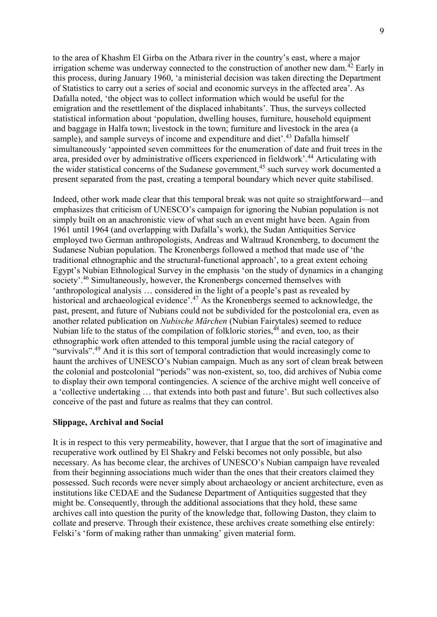to the area of Khashm El Girba on the Atbara river in the country's east, where a major irrigation scheme was underway connected to the construction of another new dam.<sup>42</sup> Early in this process, during January 1960, 'a ministerial decision was taken directing the Department of Statistics to carry out a series of social and economic surveys in the affected area'. As Dafalla noted, 'the object was to collect information which would be useful for the emigration and the resettlement of the displaced inhabitants'. Thus, the surveys collected statistical information about 'population, dwelling houses, furniture, household equipment and baggage in Halfa town; livestock in the town; furniture and livestock in the area (a sample), and sample surveys of income and expenditure and diet'.<sup>43</sup> Dafalla himself simultaneously 'appointed seven committees for the enumeration of date and fruit trees in the area, presided over by administrative officers experienced in fieldwork'.<sup>44</sup> Articulating with the wider statistical concerns of the Sudanese government,<sup>45</sup> such survey work documented a present separated from the past, creating a temporal boundary which never quite stabilised.

Indeed, other work made clear that this temporal break was not quite so straightforward—and emphasizes that criticism of UNESCO's campaign for ignoring the Nubian population is not simply built on an anachronistic view of what such an event might have been. Again from 1961 until 1964 (and overlapping with Dafalla's work), the Sudan Antiquities Service employed two German anthropologists, Andreas and Waltraud Kronenberg, to document the Sudanese Nubian population. The Kronenbergs followed a method that made use of 'the traditional ethnographic and the structural-functional approach', to a great extent echoing Egypt's Nubian Ethnological Survey in the emphasis 'on the study of dynamics in a changing society'.<sup>46</sup> Simultaneously, however, the Kronenbergs concerned themselves with 'anthropological analysis … considered in the light of a people's past as revealed by historical and archaeological evidence'.<sup>47</sup> As the Kronenbergs seemed to acknowledge, the past, present, and future of Nubians could not be subdivided for the postcolonial era, even as another related publication on *Nubische Märchen* (Nubian Fairytales) seemed to reduce Nubian life to the status of the compilation of folkloric stories, $48$  and even, too, as their ethnographic work often attended to this temporal jumble using the racial category of "survivals".<sup>49</sup> And it is this sort of temporal contradiction that would increasingly come to haunt the archives of UNESCO's Nubian campaign. Much as any sort of clean break between the colonial and postcolonial "periods" was non-existent, so, too, did archives of Nubia come to display their own temporal contingencies. A science of the archive might well conceive of a 'collective undertaking … that extends into both past and future'. But such collectives also conceive of the past and future as realms that they can control.

## **Slippage, Archival and Social**

It is in respect to this very permeability, however, that I argue that the sort of imaginative and recuperative work outlined by El Shakry and Felski becomes not only possible, but also necessary. As has become clear, the archives of UNESCO's Nubian campaign have revealed from their beginning associations much wider than the ones that their creators claimed they possessed. Such records were never simply about archaeology or ancient architecture, even as institutions like CEDAE and the Sudanese Department of Antiquities suggested that they might be. Consequently, through the additional associations that they hold, these same archives call into question the purity of the knowledge that, following Daston, they claim to collate and preserve. Through their existence, these archives create something else entirely: Felski's 'form of making rather than unmaking' given material form.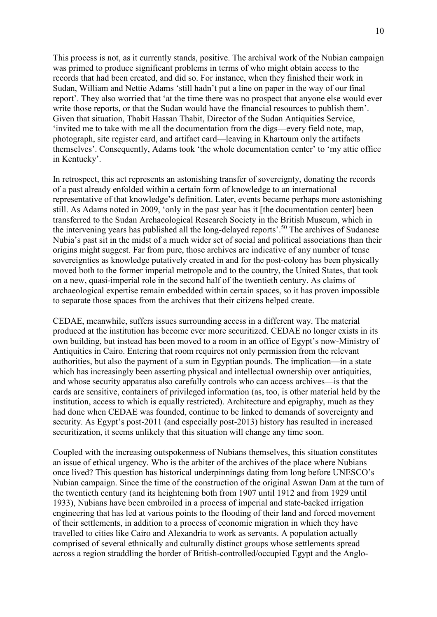This process is not, as it currently stands, positive. The archival work of the Nubian campaign was primed to produce significant problems in terms of who might obtain access to the records that had been created, and did so. For instance, when they finished their work in Sudan, William and Nettie Adams 'still hadn't put a line on paper in the way of our final report'. They also worried that 'at the time there was no prospect that anyone else would ever write those reports, or that the Sudan would have the financial resources to publish them'. Given that situation, Thabit Hassan Thabit, Director of the Sudan Antiquities Service, 'invited me to take with me all the documentation from the digs—every field note, map, photograph, site register card, and artifact card—leaving in Khartoum only the artifacts themselves'. Consequently, Adams took 'the whole documentation center' to 'my attic office in Kentucky'.

In retrospect, this act represents an astonishing transfer of sovereignty, donating the records of a past already enfolded within a certain form of knowledge to an international representative of that knowledge's definition. Later, events became perhaps more astonishing still. As Adams noted in 2009, 'only in the past year has it [the documentation center] been transferred to the Sudan Archaeological Research Society in the British Museum, which in the intervening years has published all the long-delayed reports'.<sup>50</sup> The archives of Sudanese Nubia's past sit in the midst of a much wider set of social and political associations than their origins might suggest. Far from pure, those archives are indicative of any number of tense sovereignties as knowledge putatively created in and for the post-colony has been physically moved both to the former imperial metropole and to the country, the United States, that took on a new, quasi-imperial role in the second half of the twentieth century. As claims of archaeological expertise remain embedded within certain spaces, so it has proven impossible to separate those spaces from the archives that their citizens helped create.

CEDAE, meanwhile, suffers issues surrounding access in a different way. The material produced at the institution has become ever more securitized. CEDAE no longer exists in its own building, but instead has been moved to a room in an office of Egypt's now-Ministry of Antiquities in Cairo. Entering that room requires not only permission from the relevant authorities, but also the payment of a sum in Egyptian pounds. The implication—in a state which has increasingly been asserting physical and intellectual ownership over antiquities, and whose security apparatus also carefully controls who can access archives—is that the cards are sensitive, containers of privileged information (as, too, is other material held by the institution, access to which is equally restricted). Architecture and epigraphy, much as they had done when CEDAE was founded, continue to be linked to demands of sovereignty and security. As Egypt's post-2011 (and especially post-2013) history has resulted in increased securitization, it seems unlikely that this situation will change any time soon.

Coupled with the increasing outspokenness of Nubians themselves, this situation constitutes an issue of ethical urgency. Who is the arbiter of the archives of the place where Nubians once lived? This question has historical underpinnings dating from long before UNESCO's Nubian campaign. Since the time of the construction of the original Aswan Dam at the turn of the twentieth century (and its heightening both from 1907 until 1912 and from 1929 until 1933), Nubians have been embroiled in a process of imperial and state-backed irrigation engineering that has led at various points to the flooding of their land and forced movement of their settlements, in addition to a process of economic migration in which they have travelled to cities like Cairo and Alexandria to work as servants. A population actually comprised of several ethnically and culturally distinct groups whose settlements spread across a region straddling the border of British-controlled/occupied Egypt and the Anglo-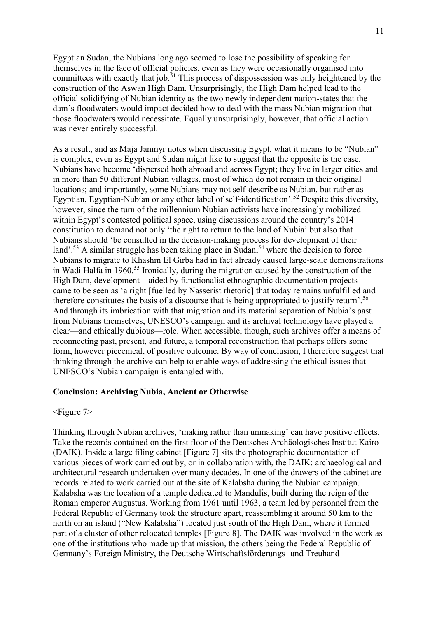Egyptian Sudan, the Nubians long ago seemed to lose the possibility of speaking for themselves in the face of official policies, even as they were occasionally organised into committees with exactly that job.<sup>51</sup> This process of dispossession was only heightened by the construction of the Aswan High Dam. Unsurprisingly, the High Dam helped lead to the official solidifying of Nubian identity as the two newly independent nation-states that the dam's floodwaters would impact decided how to deal with the mass Nubian migration that those floodwaters would necessitate. Equally unsurprisingly, however, that official action was never entirely successful.

As a result, and as Maja Janmyr notes when discussing Egypt, what it means to be "Nubian" is complex, even as Egypt and Sudan might like to suggest that the opposite is the case. Nubians have become 'dispersed both abroad and across Egypt; they live in larger cities and in more than 50 different Nubian villages, most of which do not remain in their original locations; and importantly, some Nubians may not self-describe as Nubian, but rather as Egyptian, Egyptian-Nubian or any other label of self-identification'.<sup>52</sup> Despite this diversity, however, since the turn of the millennium Nubian activists have increasingly mobilized within Egypt's contested political space, using discussions around the country's 2014 constitution to demand not only 'the right to return to the land of Nubia' but also that Nubians should 'be consulted in the decision-making process for development of their land'.<sup>53</sup> A similar struggle has been taking place in Sudan,<sup>54</sup> where the decision to force Nubians to migrate to Khashm El Girba had in fact already caused large-scale demonstrations in Wadi Halfa in 1960.<sup>55</sup> Ironically, during the migration caused by the construction of the High Dam, development—aided by functionalist ethnographic documentation projects came to be seen as 'a right [fuelled by Nasserist rhetoric] that today remains unfulfilled and therefore constitutes the basis of a discourse that is being appropriated to justify return'.<sup>56</sup> And through its imbrication with that migration and its material separation of Nubia's past from Nubians themselves, UNESCO's campaign and its archival technology have played a clear—and ethically dubious—role. When accessible, though, such archives offer a means of reconnecting past, present, and future, a temporal reconstruction that perhaps offers some form, however piecemeal, of positive outcome. By way of conclusion, I therefore suggest that thinking through the archive can help to enable ways of addressing the ethical issues that UNESCO's Nubian campaign is entangled with.

## **Conclusion: Archiving Nubia, Ancient or Otherwise**

#### <Figure 7>

Thinking through Nubian archives, 'making rather than unmaking' can have positive effects. Take the records contained on the first floor of the Deutsches Archäologisches Institut Kairo (DAIK). Inside a large filing cabinet [Figure 7] sits the photographic documentation of various pieces of work carried out by, or in collaboration with, the DAIK: archaeological and architectural research undertaken over many decades. In one of the drawers of the cabinet are records related to work carried out at the site of Kalabsha during the Nubian campaign. Kalabsha was the location of a temple dedicated to Mandulis, built during the reign of the Roman emperor Augustus. Working from 1961 until 1963, a team led by personnel from the Federal Republic of Germany took the structure apart, reassembling it around 50 km to the north on an island ("New Kalabsha") located just south of the High Dam, where it formed part of a cluster of other relocated temples [Figure 8]. The DAIK was involved in the work as one of the institutions who made up that mission, the others being the Federal Republic of Germany's Foreign Ministry, the Deutsche Wirtschaftsförderungs- und Treuhand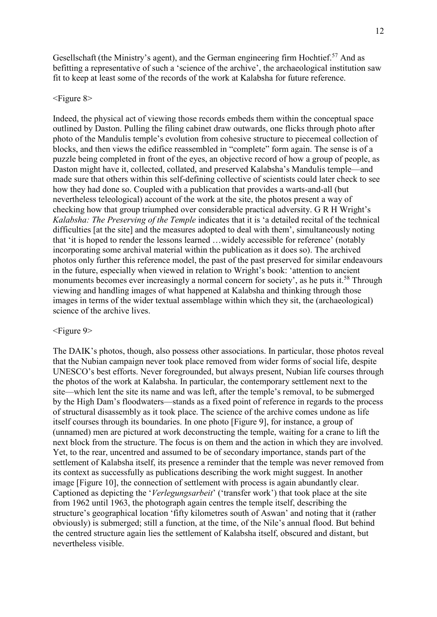Gesellschaft (the Ministry's agent), and the German engineering firm Hochtief.<sup>57</sup> And as befitting a representative of such a 'science of the archive', the archaeological institution saw fit to keep at least some of the records of the work at Kalabsha for future reference.

#### $\leq$ Figure 8>

Indeed, the physical act of viewing those records embeds them within the conceptual space outlined by Daston. Pulling the filing cabinet draw outwards, one flicks through photo after photo of the Mandulis temple's evolution from cohesive structure to piecemeal collection of blocks, and then views the edifice reassembled in "complete" form again. The sense is of a puzzle being completed in front of the eyes, an objective record of how a group of people, as Daston might have it, collected, collated, and preserved Kalabsha's Mandulis temple—and made sure that others within this self-defining collective of scientists could later check to see how they had done so. Coupled with a publication that provides a warts-and-all (but nevertheless teleological) account of the work at the site, the photos present a way of checking how that group triumphed over considerable practical adversity. G R H Wright's *Kalabsha: The Preserving of the Temple* indicates that it is 'a detailed recital of the technical difficulties [at the site] and the measures adopted to deal with them', simultaneously noting that 'it is hoped to render the lessons learned …widely accessible for reference' (notably incorporating some archival material within the publication as it does so). The archived photos only further this reference model, the past of the past preserved for similar endeavours in the future, especially when viewed in relation to Wright's book: 'attention to ancient monuments becomes ever increasingly a normal concern for society', as he puts it.<sup>58</sup> Through viewing and handling images of what happened at Kalabsha and thinking through those images in terms of the wider textual assemblage within which they sit, the (archaeological) science of the archive lives.

#### <Figure 9>

The DAIK's photos, though, also possess other associations. In particular, those photos reveal that the Nubian campaign never took place removed from wider forms of social life, despite UNESCO's best efforts. Never foregrounded, but always present, Nubian life courses through the photos of the work at Kalabsha. In particular, the contemporary settlement next to the site—which lent the site its name and was left, after the temple's removal, to be submerged by the High Dam's floodwaters—stands as a fixed point of reference in regards to the process of structural disassembly as it took place. The science of the archive comes undone as life itself courses through its boundaries. In one photo [Figure 9], for instance, a group of (unnamed) men are pictured at work deconstructing the temple, waiting for a crane to lift the next block from the structure. The focus is on them and the action in which they are involved. Yet, to the rear, uncentred and assumed to be of secondary importance, stands part of the settlement of Kalabsha itself, its presence a reminder that the temple was never removed from its context as successfully as publications describing the work might suggest. In another image [Figure 10], the connection of settlement with process is again abundantly clear. Captioned as depicting the '*Verlegungsarbeit*' ('transfer work') that took place at the site from 1962 until 1963, the photograph again centres the temple itself, describing the structure's geographical location 'fifty kilometres south of Aswan' and noting that it (rather obviously) is submerged; still a function, at the time, of the Nile's annual flood. But behind the centred structure again lies the settlement of Kalabsha itself, obscured and distant, but nevertheless visible.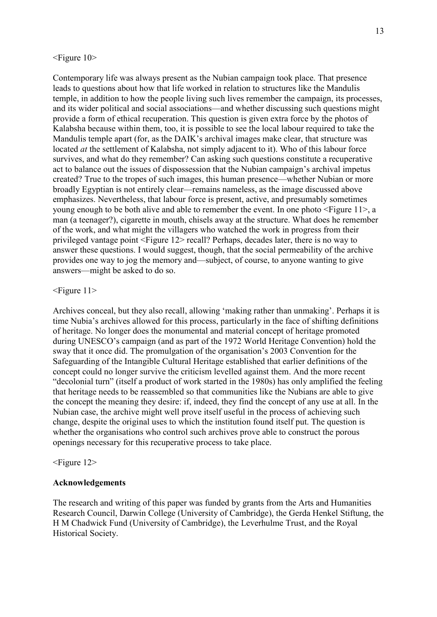#### <Figure 10>

Contemporary life was always present as the Nubian campaign took place. That presence leads to questions about how that life worked in relation to structures like the Mandulis temple, in addition to how the people living such lives remember the campaign, its processes, and its wider political and social associations—and whether discussing such questions might provide a form of ethical recuperation. This question is given extra force by the photos of Kalabsha because within them, too, it is possible to see the local labour required to take the Mandulis temple apart (for, as the DAIK's archival images make clear, that structure was located *at* the settlement of Kalabsha, not simply adjacent to it). Who of this labour force survives, and what do they remember? Can asking such questions constitute a recuperative act to balance out the issues of dispossession that the Nubian campaign's archival impetus created? True to the tropes of such images, this human presence—whether Nubian or more broadly Egyptian is not entirely clear—remains nameless, as the image discussed above emphasizes. Nevertheless, that labour force is present, active, and presumably sometimes young enough to be both alive and able to remember the event. In one photo <Figure 11>, a man (a teenager?), cigarette in mouth, chisels away at the structure. What does he remember of the work, and what might the villagers who watched the work in progress from their privileged vantage point <Figure 12> recall? Perhaps, decades later, there is no way to answer these questions. I would suggest, though, that the social permeability of the archive provides one way to jog the memory and—subject, of course, to anyone wanting to give answers—might be asked to do so.

### <Figure 11>

Archives conceal, but they also recall, allowing 'making rather than unmaking'. Perhaps it is time Nubia's archives allowed for this process, particularly in the face of shifting definitions of heritage. No longer does the monumental and material concept of heritage promoted during UNESCO's campaign (and as part of the 1972 World Heritage Convention) hold the sway that it once did. The promulgation of the organisation's 2003 Convention for the Safeguarding of the Intangible Cultural Heritage established that earlier definitions of the concept could no longer survive the criticism levelled against them. And the more recent "decolonial turn" (itself a product of work started in the 1980s) has only amplified the feeling that heritage needs to be reassembled so that communities like the Nubians are able to give the concept the meaning they desire: if, indeed, they find the concept of any use at all. In the Nubian case, the archive might well prove itself useful in the process of achieving such change, despite the original uses to which the institution found itself put. The question is whether the organisations who control such archives prove able to construct the porous openings necessary for this recuperative process to take place.

#### <Figure 12>

#### **Acknowledgements**

The research and writing of this paper was funded by grants from the Arts and Humanities Research Council, Darwin College (University of Cambridge), the Gerda Henkel Stiftung, the H M Chadwick Fund (University of Cambridge), the Leverhulme Trust, and the Royal Historical Society.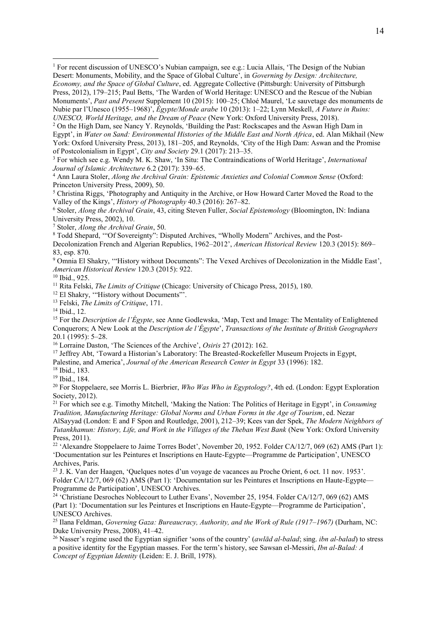<sup>2</sup> On the High Dam, see Nancy Y. Reynolds, 'Building the Past: Rockscapes and the Aswan High Dam in Egypt', in *Water on Sand: Environmental Histories of the Middle East and North Africa*, ed. Alan Mikhail (New York: Oxford University Press, 2013), 181–205, and Reynolds, 'City of the High Dam: Aswan and the Promise of Postcolonialism in Egypt', *City and Society* 29.1 (2017): 213–35.

<sup>3</sup> For which see e.g. Wendy M. K. Shaw, 'In Situ: The Contraindications of World Heritage', *International Journal of Islamic Architecture* 6.2 (2017): 339–65.

<sup>4</sup> Ann Laura Stoler, *Along the Archival Grain: Epistemic Anxieties and Colonial Common Sense* (Oxford: Princeton University Press, 2009), 50.

<sup>5</sup> Christina Riggs, 'Photography and Antiquity in the Archive, or How Howard Carter Moved the Road to the Valley of the Kings', *History of Photography* 40.3 (2016): 267–82.

<sup>6</sup> Stoler, *Along the Archival Grain*, 43, citing Steven Fuller, *Social Epistemology* (Bloomington, IN: Indiana University Press, 2002), 10.

<sup>7</sup> Stoler, *Along the Archival Grain*, 50.

<sup>8</sup> Todd Shepard, '"Of Sovereignty": Disputed Archives, "Wholly Modern" Archives, and the Post-

Decolonization French and Algerian Republics, 1962–2012', *American Historical Review* 120.3 (2015): 869– 83, esp. 870.

<sup>9</sup> Omnia El Shakry, '"History without Documents": The Vexed Archives of Decolonization in the Middle East', *American Historical Review* 120.3 (2015): 922.

<sup>10</sup> Ibid., 925.

1

<sup>11</sup> Rita Felski, *The Limits of Critique* (Chicago: University of Chicago Press, 2015), 180.

<sup>12</sup> El Shakry, "History without Documents"'.

<sup>13</sup> Felski, *The Limits of Critique*, 171.

<sup>14</sup> Ibid., 12.

<sup>15</sup> For the *Description de l'Égypte*, see Anne Godlewska, 'Map, Text and Image: The Mentality of Enlightened Conquerors; A New Look at the *Description de l'Égypte*', *Transactions of the Institute of British Geographers* 20.1 (1995): 5–28.

<sup>16</sup> Lorraine Daston, 'The Sciences of the Archive', *Osiris* 27 (2012): 162.

<sup>17</sup> Jeffrey Abt, 'Toward a Historian's Laboratory: The Breasted-Rockefeller Museum Projects in Egypt,

Palestine, and America', *Journal of the American Research Center in Egypt* 33 (1996): 182.

<sup>18</sup> Ibid., 183.

<sup>19</sup> Ibid., 184.

<sup>20</sup> For Stoppelaere, see Morris L. Bierbrier, *Who Was Who in Egyptology?*, 4th ed. (London: Egypt Exploration Society, 2012).

<sup>21</sup> For which see e.g. Timothy Mitchell, 'Making the Nation: The Politics of Heritage in Egypt', in *Consuming Tradition, Manufacturing Heritage: Global Norms and Urban Forms in the Age of Tourism*, ed. Nezar AlSayyad (London: E and F Spon and Routledge, 2001), 212–39; Kees van der Spek, *The Modern Neighbors of Tutankhamun: History, Life, and Work in the Villages of the Theban West Bank* (New York: Oxford University Press, 2011).

<sup>22</sup> 'Alexandre Stoppelaere to Jaime Torres Bodet', November 20, 1952. Folder CA/12/7, 069 (62) AMS (Part 1): 'Documentation sur les Peintures et Inscriptions en Haute-Egypte—Programme de Participation', UNESCO Archives, Paris.

<sup>23</sup> J. K. Van der Haagen, 'Quelques notes d'un voyage de vacances au Proche Orient, 6 oct. 11 nov. 1953'. Folder CA/12/7, 069 (62) AMS (Part 1): 'Documentation sur les Peintures et Inscriptions en Haute-Egypte— Programme de Participation', UNESCO Archives.

<sup>24</sup> 'Christiane Desroches Noblecourt to Luther Evans', November 25, 1954. Folder CA/12/7, 069 (62) AMS (Part 1): 'Documentation sur les Peintures et Inscriptions en Haute-Egypte—Programme de Participation', UNESCO Archives.

<sup>25</sup> Ilana Feldman, *Governing Gaza: Bureaucracy, Authority, and the Work of Rule (1917–1967)* (Durham, NC: Duke University Press, 2008), 41–42.

<sup>26</sup> Nasser's regime used the Egyptian signifier 'sons of the country' (*awlād al-balad*; sing. *ibn al-balad*) to stress a positive identity for the Egyptian masses. For the term's history, see Sawsan el-Messiri, *Ibn al-Balad: A Concept of Egyptian Identity* (Leiden: E. J. Brill, 1978).

<sup>1</sup> For recent discussion of UNESCO's Nubian campaign, see e.g.: Lucia Allais, 'The Design of the Nubian Desert: Monuments, Mobility, and the Space of Global Culture', in *Governing by Design: Architecture, Economy, and the Space of Global Culture*, ed. Aggregate Collective (Pittsburgh: University of Pittsburgh Press, 2012), 179–215; Paul Betts, 'The Warden of World Heritage: UNESCO and the Rescue of the Nubian Monuments', *Past and Present* Supplement 10 (2015): 100–25; Chloé Maurel, 'Le sauvetage des monuments de Nubie par l'Unesco (1955–1968)', *Égypte/Monde arabe* 10 (2013): 1–22; Lynn Meskell, *A Future in Ruins: UNESCO, World Heritage, and the Dream of Peace* (New York: Oxford University Press, 2018).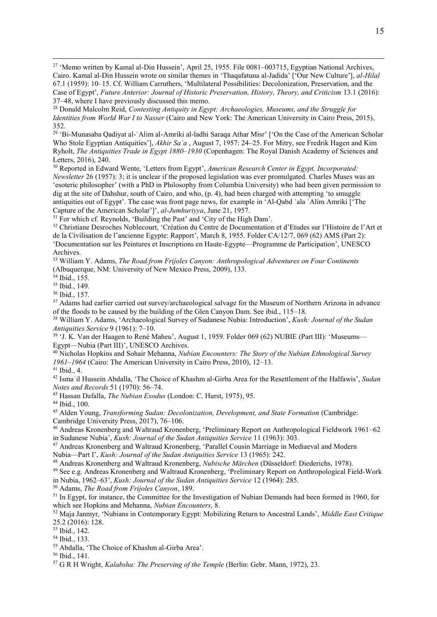<sup>27</sup> 'Memo written by Kamal al-Din Hussein', April 25, 1955. File 0081–003715, Egyptian National Archives, Cairo. Kamal al-Din Hussein wrote on similar themes in 'Thaqafatuna al-Jadida' ['Our New Culture'], *al-Hilal* 67.1 (1959): 10–15. Cf. William Carruthers, 'Multilateral Possibilities: Decolonization, Preservation, and the Case of Egypt', *Future Anterior: Journal of Historic Preservation, History, Theory, and Criticism* 13.1 (2016): 37–48, where I have previously discussed this memo.

<sup>29</sup> 'Bi-Munasaba Qadiyat al-ʿAlim al-Amriki al-ladhi Saraqa Athar Misr' ['On the Case of the American Scholar Who Stole Egyptian Antiquities'], *Akhir Saʿa* , August 7, 1957: 24–25. For Mitry, see Fredrik Hagen and Kim Ryholt, *The Antiquities Trade in Egypt 1880–1930* (Copenhagen: The Royal Danish Academy of Sciences and Letters, 2016), 240.

<sup>30</sup> Reported in Edward Wente, 'Letters from Egypt', *American Research Center in Egypt, Incorporated: Newsletter* 26 (1957): 3; it is unclear if the proposed legislation was ever promulgated. Charles Muses was an 'esoteric philosopher' (with a PhD in Philosophy from Columbia University) who had been given permission to dig at the site of Dahshur, south of Cairo, and who, (p. 4), had been charged with attempting 'to smuggle antiquities out of Egypt'. The case was front page news, for example in 'Al-Qabd ʿala ʿAlim Amriki ['The Capture of the American Scholar']', *al-Jumhuriyya*, June 21, 1957.

<sup>31</sup> For which cf. Reynolds, 'Building the Past' and 'City of the High Dam'.

<sup>32</sup> Christiane Desroches Noblecourt, 'Création du Centre de Documentation et d'Etudes sur l'Histoire de l'Art et de la Civilisation de l'ancienne Egypte: Rapport', March 8, 1955. Folder CA/12/7, 069 (62) AMS (Part 2): 'Documentation sur les Peintures et Inscriptions en Haute-Egypte—Programme de Participation', UNESCO Archives.

<sup>33</sup> William Y. Adams, *The Road from Frijoles Canyon: Anthropological Adventures on Four Continents* (Albuquerque, NM: University of New Mexico Press, 2009), 133.

<sup>34</sup> Ibid., 155.

1

<sup>35</sup> Ibid., 149.

<sup>36</sup> Ibid., 157.

<sup>37</sup> Adams had earlier carried out survey/archaeological salvage for the Museum of Northern Arizona in advance of the floods to be caused by the building of the Glen Canyon Dam. See ibid., 115–18.

<sup>38</sup> William Y. Adams, 'Archaeological Survey of Sudanese Nubia: Introduction', *Kush: Journal of the Sudan Antiquities Service* 9 (1961): 7–10.

<sup>39</sup> 'J. K. Van der Haagen to René Maheu', August 1, 1959. Folder 069 (62) NUBIE (Part III): 'Museums-Egypt—Nubia (Part III)', UNESCO Archives.

<sup>40</sup> Nicholas Hopkins and Sohair Mehanna, *Nubian Encounters: The Story of the Nubian Ethnological Survey 1961–1964* (Cairo: The American University in Cairo Press, 2010), 12–13.

<sup>41</sup> Ibid., 4.

<sup>42</sup> Ismaʿil Hussein Abdalla, 'The Choice of Khashm al-Girba Area for the Resettlement of the Halfawis', *Sudan Notes and Records* 51 (1970): 56–74.

<sup>43</sup> Hassan Dafalla, *The Nubian Exodus* (London: C. Hurst, 1975), 95.

<sup>44</sup> Ibid., 100.

<sup>45</sup> Alden Young, *Transforming Sudan: Decolonization, Development, and State Formation* (Cambridge: Cambridge University Press, 2017), 76–106.

<sup>46</sup> Andreas Kronenberg and Waltraud Kronenberg, 'Preliminary Report on Anthropological Fieldwork 1961–62 in Sudanese Nubia', *Kush: Journal of the Sudan Antiquities Service* 11 (1963): 303.

<sup>47</sup> Andreas Kronenberg and Waltraud Kronenberg, 'Parallel Cousin Marriage in Mediaeval and Modern Nubia—Part I', *Kush: Journal of the Sudan Antiquities Service* 13 (1965): 242.

<sup>48</sup> Andreas Kronenberg and Waltraud Kronenberg, *Nubische Märchen* (Düsseldorf: Diederichs, 1978).

<sup>49</sup> See e.g. Andreas Kronenberg and Waltraud Kronenberg, 'Preliminary Report on Anthropological Field-Work in Nubia, 1962–63', *Kush: Journal of the Sudan Antiquities Service* 12 (1964): 285.

<sup>50</sup> Adams, *The Road from Frijoles Canyon*, 189.

<sup>51</sup> In Egypt, for instance, the Committee for the Investigation of Nubian Demands had been formed in 1960, for which see Hopkins and Mehanna, *Nubian Encounters*, 8.

<sup>52</sup> Maja Janmyr, 'Nubians in Contemporary Egypt: Mobilizing Return to Ancestral Lands', *Middle East Critique* 25.2 (2016): 128.

<sup>53</sup> Ibid., 142.

<sup>54</sup> Ibid., 133.

<sup>55</sup> Abdalla, 'The Choice of Khashm al-Girba Area'.

<sup>56</sup> Ibid., 141.

<sup>57</sup> G R H Wright, *Kalabsha: The Preserving of the Temple* (Berlin: Gebr. Mann, 1972), 23.

<sup>28</sup> Donald Malcolm Reid, *Contesting Antiquity in Egypt: Archaeologies, Museums, and the Struggle for Identities from World War I to Nasser* (Cairo and New York: The American University in Cairo Press, 2015), 352.